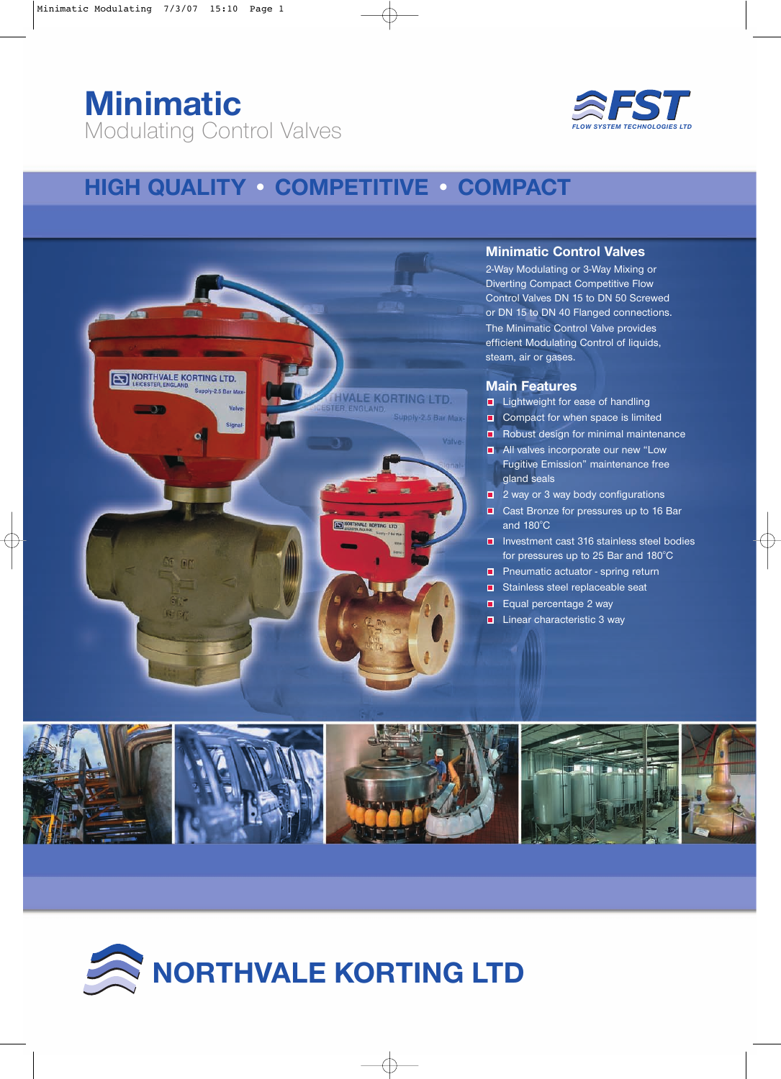# **Minimatic** Modulating Control Valves



## **HIGH QUALITY • COMPETITIVE • COMPACT**



#### **Minimatic Control Valves**

2-Way Modulating or 3-Way Mixing or Diverting Compact Competitive Flow Control Valves DN 15 to DN 50 Screwed or DN 15 to DN 40 Flanged connections. The Minimatic Control Valve provides efficient Modulating Control of liquids, steam, air or gases.

#### **Main Features**

- Lightweight for ease of handling
- $\Box$  Compact for when space is limited
- $\blacksquare$  Robust design for minimal maintenance
- $\blacksquare$  All valves incorporate our new "Low Fugitive Emission" maintenance free gland seals
- 2 way or 3 way body configurations
- Cast Bronze for pressures up to 16 Bar and  $180^{\circ}$ C
- Investment cast 316 stainless steel bodies for pressures up to 25 Bar and  $180^{\circ}$ C
- $\Box$  Pneumatic actuator spring return
- Stainless steel replaceable seat
- $\Box$  Equal percentage 2 way
- Linear characteristic 3 way